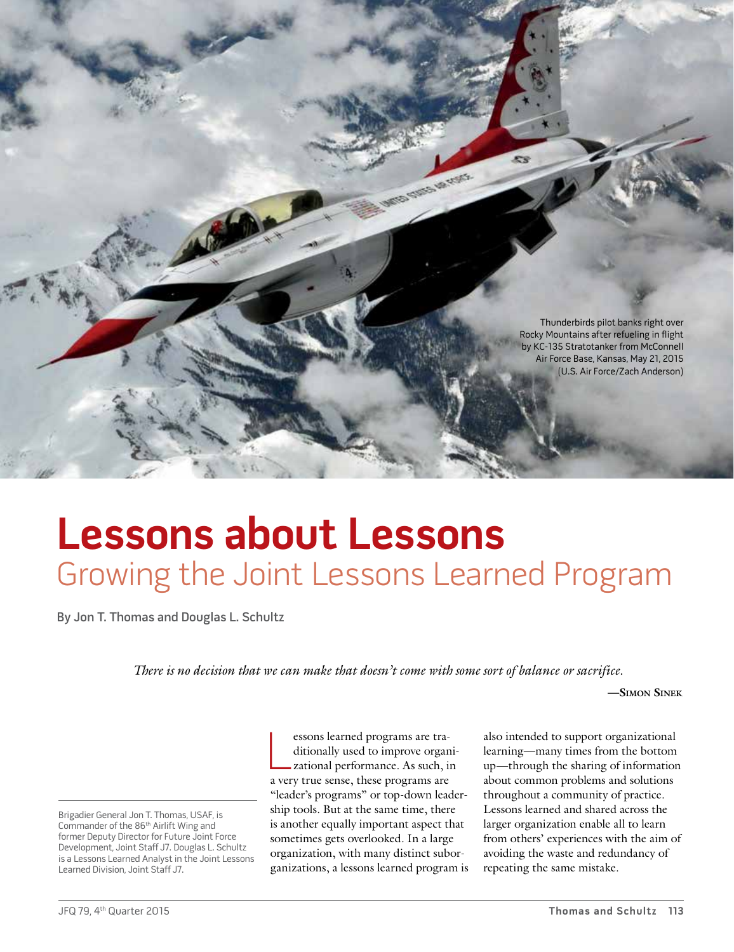

# **Lessons about Lessons** Growing the Joint Lessons Learned Program

By Jon T. Thomas and Douglas L. Schultz

*There is no decision that we can make that doesn't come with some sort of balance or sacrifice.*

**—Simon Sinek**

Brigadier General Jon T. Thomas, USAF, is Commander of the 86<sup>th</sup> Airlift Wing and former Deputy Director for Future Joint Force Development, Joint Staff J7. Douglas L. Schultz is a Lessons Learned Analyst in the Joint Lessons Learned Division, Joint Staff J7.

essons learned programs are tra-<br>ditionally used to improve organ<br>zational performance. As such, is<br>a very true sense, these programs are essons learned programs are traditionally used to improve organizational performance. As such, in "leader's programs" or top-down leadership tools. But at the same time, there is another equally important aspect that sometimes gets overlooked. In a large organization, with many distinct suborganizations, a lessons learned program is also intended to support organizational learning—many times from the bottom up—through the sharing of information about common problems and solutions throughout a community of practice. Lessons learned and shared across the larger organization enable all to learn from others' experiences with the aim of avoiding the waste and redundancy of repeating the same mistake.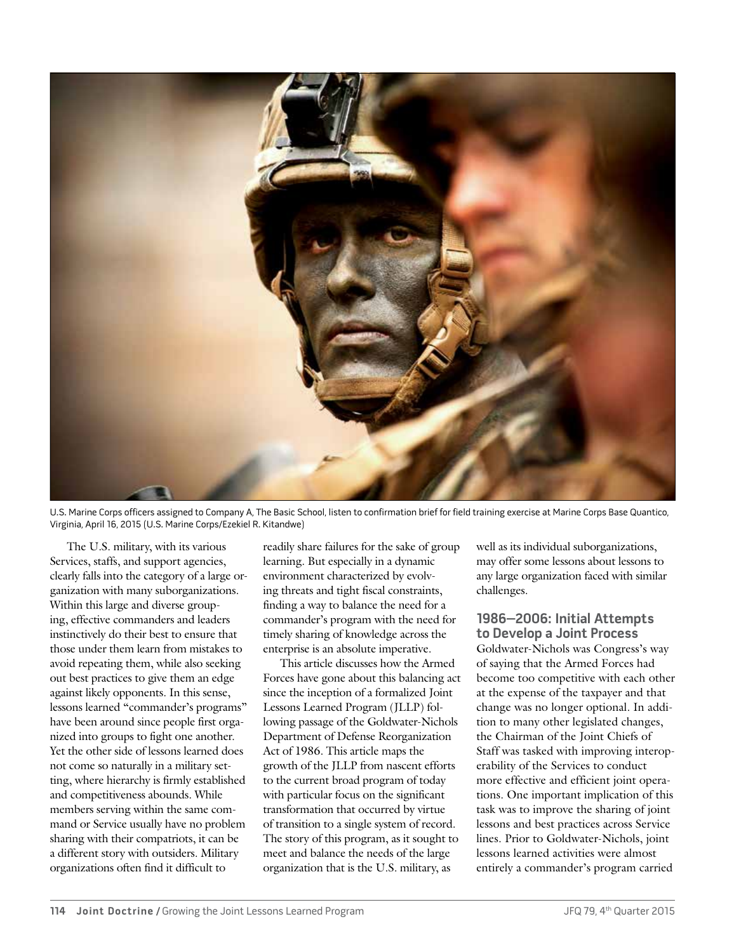

U.S. Marine Corps officers assigned to Company A, The Basic School, listen to confirmation brief for field training exercise at Marine Corps Base Quantico, Virginia, April 16, 2015 (U.S. Marine Corps/Ezekiel R. Kitandwe)

The U.S. military, with its various Services, staffs, and support agencies, clearly falls into the category of a large organization with many suborganizations. Within this large and diverse grouping, effective commanders and leaders instinctively do their best to ensure that those under them learn from mistakes to avoid repeating them, while also seeking out best practices to give them an edge against likely opponents. In this sense, lessons learned "commander's programs" have been around since people first organized into groups to fight one another. Yet the other side of lessons learned does not come so naturally in a military setting, where hierarchy is firmly established and competitiveness abounds. While members serving within the same command or Service usually have no problem sharing with their compatriots, it can be a different story with outsiders. Military organizations often find it difficult to

readily share failures for the sake of group learning. But especially in a dynamic environment characterized by evolving threats and tight fiscal constraints, finding a way to balance the need for a commander's program with the need for timely sharing of knowledge across the enterprise is an absolute imperative.

This article discusses how the Armed Forces have gone about this balancing act since the inception of a formalized Joint Lessons Learned Program (JLLP) following passage of the Goldwater-Nichols Department of Defense Reorganization Act of 1986. This article maps the growth of the JLLP from nascent efforts to the current broad program of today with particular focus on the significant transformation that occurred by virtue of transition to a single system of record. The story of this program, as it sought to meet and balance the needs of the large organization that is the U.S. military, as

well as its individual suborganizations, may offer some lessons about lessons to any large organization faced with similar challenges.

**1986–2006: Initial Attempts to Develop a Joint Process** Goldwater-Nichols was Congress's way of saying that the Armed Forces had become too competitive with each other at the expense of the taxpayer and that change was no longer optional. In addition to many other legislated changes, the Chairman of the Joint Chiefs of Staff was tasked with improving interoperability of the Services to conduct more effective and efficient joint operations. One important implication of this task was to improve the sharing of joint lessons and best practices across Service lines. Prior to Goldwater-Nichols, joint lessons learned activities were almost entirely a commander's program carried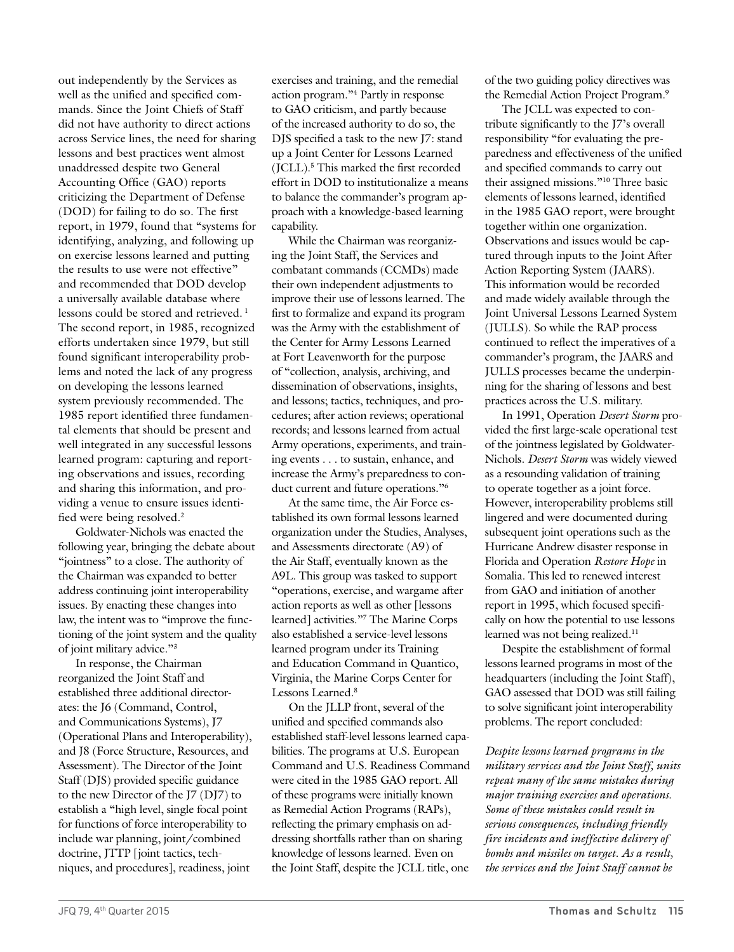out independently by the Services as well as the unified and specified commands. Since the Joint Chiefs of Staff did not have authority to direct actions across Service lines, the need for sharing lessons and best practices went almost unaddressed despite two General Accounting Office (GAO) reports criticizing the Department of Defense (DOD) for failing to do so. The first report, in 1979, found that "systems for identifying, analyzing, and following up on exercise lessons learned and putting the results to use were not effective" and recommended that DOD develop a universally available database where lessons could be stored and retrieved.<sup>1</sup> The second report, in 1985, recognized efforts undertaken since 1979, but still found significant interoperability problems and noted the lack of any progress on developing the lessons learned system previously recommended. The 1985 report identified three fundamental elements that should be present and well integrated in any successful lessons learned program: capturing and reporting observations and issues, recording and sharing this information, and providing a venue to ensure issues identified were being resolved.2

Goldwater-Nichols was enacted the following year, bringing the debate about "jointness" to a close. The authority of the Chairman was expanded to better address continuing joint interoperability issues. By enacting these changes into law, the intent was to "improve the functioning of the joint system and the quality of joint military advice."3

In response, the Chairman reorganized the Joint Staff and established three additional directorates: the J6 (Command, Control, and Communications Systems), J7 (Operational Plans and Interoperability), and J8 (Force Structure, Resources, and Assessment). The Director of the Joint Staff (DJS) provided specific guidance to the new Director of the J7 (DJ7) to establish a "high level, single focal point for functions of force interoperability to include war planning, joint/combined doctrine, JTTP [joint tactics, techniques, and procedures], readiness, joint

exercises and training, and the remedial action program."4 Partly in response to GAO criticism, and partly because of the increased authority to do so, the DJS specified a task to the new J7: stand up a Joint Center for Lessons Learned (JCLL).5 This marked the first recorded effort in DOD to institutionalize a means to balance the commander's program approach with a knowledge-based learning capability.

While the Chairman was reorganizing the Joint Staff, the Services and combatant commands (CCMDs) made their own independent adjustments to improve their use of lessons learned. The first to formalize and expand its program was the Army with the establishment of the Center for Army Lessons Learned at Fort Leavenworth for the purpose of "collection, analysis, archiving, and dissemination of observations, insights, and lessons; tactics, techniques, and procedures; after action reviews; operational records; and lessons learned from actual Army operations, experiments, and training events . . . to sustain, enhance, and increase the Army's preparedness to conduct current and future operations."6

At the same time, the Air Force established its own formal lessons learned organization under the Studies, Analyses, and Assessments directorate (A9) of the Air Staff, eventually known as the A9L. This group was tasked to support "operations, exercise, and wargame after action reports as well as other [lessons learned] activities."7 The Marine Corps also established a service-level lessons learned program under its Training and Education Command in Quantico, Virginia, the Marine Corps Center for Lessons Learned.8

On the JLLP front, several of the unified and specified commands also established staff-level lessons learned capabilities. The programs at U.S. European Command and U.S. Readiness Command were cited in the 1985 GAO report. All of these programs were initially known as Remedial Action Programs (RAPs), reflecting the primary emphasis on addressing shortfalls rather than on sharing knowledge of lessons learned. Even on the Joint Staff, despite the JCLL title, one

of the two guiding policy directives was the Remedial Action Project Program.9

The JCLL was expected to contribute significantly to the J7's overall responsibility "for evaluating the preparedness and effectiveness of the unified and specified commands to carry out their assigned missions."10 Three basic elements of lessons learned, identified in the 1985 GAO report, were brought together within one organization. Observations and issues would be captured through inputs to the Joint After Action Reporting System (JAARS). This information would be recorded and made widely available through the Joint Universal Lessons Learned System (JULLS). So while the RAP process continued to reflect the imperatives of a commander's program, the JAARS and JULLS processes became the underpinning for the sharing of lessons and best practices across the U.S. military.

In 1991, Operation *Desert Storm* provided the first large-scale operational test of the jointness legislated by Goldwater-Nichols. *Desert Storm* was widely viewed as a resounding validation of training to operate together as a joint force. However, interoperability problems still lingered and were documented during subsequent joint operations such as the Hurricane Andrew disaster response in Florida and Operation *Restore Hope* in Somalia. This led to renewed interest from GAO and initiation of another report in 1995, which focused specifically on how the potential to use lessons learned was not being realized.<sup>11</sup>

Despite the establishment of formal lessons learned programs in most of the headquarters (including the Joint Staff), GAO assessed that DOD was still failing to solve significant joint interoperability problems. The report concluded:

*Despite lessons learned programs in the military services and the Joint Staff, units repeat many of the same mistakes during major training exercises and operations. Some of these mistakes could result in serious consequences, including friendly fire incidents and ineffective delivery of bombs and missiles on target. As a result, the services and the Joint Staff cannot be*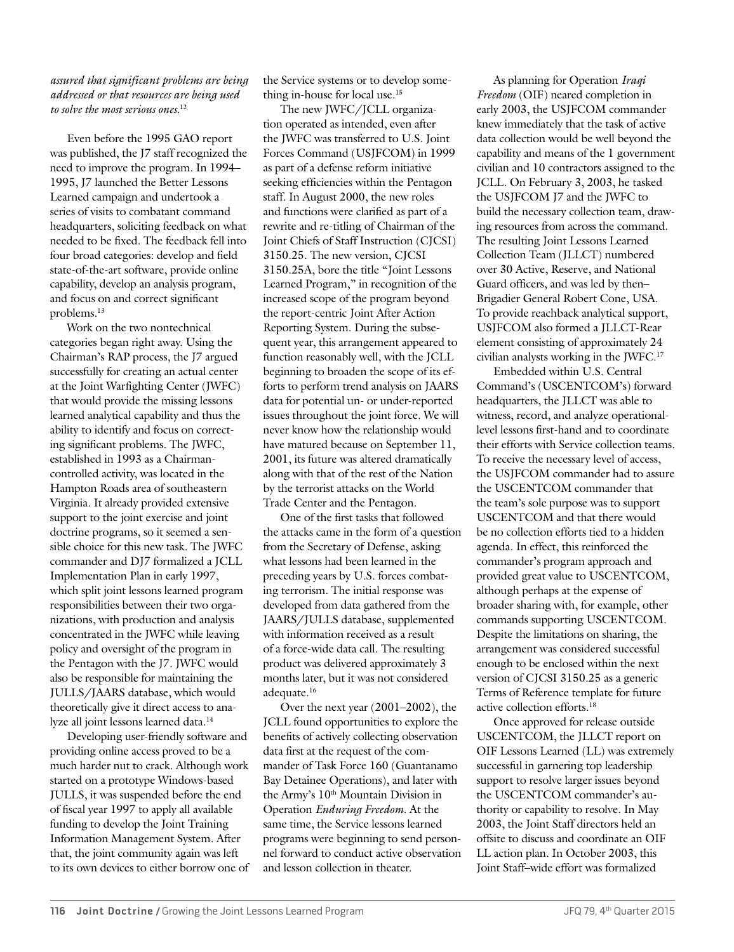### *assured that significant problems are being addressed or that resources are being used to solve the most serious ones.*<sup>12</sup>

Even before the 1995 GAO report was published, the J7 staff recognized the need to improve the program. In 1994– 1995, J7 launched the Better Lessons Learned campaign and undertook a series of visits to combatant command headquarters, soliciting feedback on what needed to be fixed. The feedback fell into four broad categories: develop and field state-of-the-art software, provide online capability, develop an analysis program, and focus on and correct significant problems.13

Work on the two nontechnical categories began right away. Using the Chairman's RAP process, the J7 argued successfully for creating an actual center at the Joint Warfighting Center (JWFC) that would provide the missing lessons learned analytical capability and thus the ability to identify and focus on correcting significant problems. The JWFC, established in 1993 as a Chairmancontrolled activity, was located in the Hampton Roads area of southeastern Virginia. It already provided extensive support to the joint exercise and joint doctrine programs, so it seemed a sensible choice for this new task. The JWFC commander and DJ7 formalized a JCLL Implementation Plan in early 1997, which split joint lessons learned program responsibilities between their two organizations, with production and analysis concentrated in the JWFC while leaving policy and oversight of the program in the Pentagon with the J7. JWFC would also be responsible for maintaining the JULLS/JAARS database, which would theoretically give it direct access to analyze all joint lessons learned data.14

Developing user-friendly software and providing online access proved to be a much harder nut to crack. Although work started on a prototype Windows-based JULLS, it was suspended before the end of fiscal year 1997 to apply all available funding to develop the Joint Training Information Management System. After that, the joint community again was left to its own devices to either borrow one of the Service systems or to develop something in-house for local use.15

The new JWFC/JCLL organization operated as intended, even after the JWFC was transferred to U.S. Joint Forces Command (USJFCOM) in 1999 as part of a defense reform initiative seeking efficiencies within the Pentagon staff. In August 2000, the new roles and functions were clarified as part of a rewrite and re-titling of Chairman of the Joint Chiefs of Staff Instruction (CJCSI) 3150.25. The new version, CJCSI 3150.25A, bore the title "Joint Lessons Learned Program," in recognition of the increased scope of the program beyond the report-centric Joint After Action Reporting System. During the subsequent year, this arrangement appeared to function reasonably well, with the JCLL beginning to broaden the scope of its efforts to perform trend analysis on JAARS data for potential un- or under-reported issues throughout the joint force. We will never know how the relationship would have matured because on September 11, 2001, its future was altered dramatically along with that of the rest of the Nation by the terrorist attacks on the World Trade Center and the Pentagon.

One of the first tasks that followed the attacks came in the form of a question from the Secretary of Defense, asking what lessons had been learned in the preceding years by U.S. forces combating terrorism. The initial response was developed from data gathered from the JAARS/JULLS database, supplemented with information received as a result of a force-wide data call. The resulting product was delivered approximately 3 months later, but it was not considered adequate.16

Over the next year (2001–2002), the JCLL found opportunities to explore the benefits of actively collecting observation data first at the request of the commander of Task Force 160 (Guantanamo Bay Detainee Operations), and later with the Army's 10<sup>th</sup> Mountain Division in Operation *Enduring Freedom*. At the same time, the Service lessons learned programs were beginning to send personnel forward to conduct active observation and lesson collection in theater.

As planning for Operation *Iraqi Freedom* (OIF) neared completion in early 2003, the USJFCOM commander knew immediately that the task of active data collection would be well beyond the capability and means of the 1 government civilian and 10 contractors assigned to the JCLL. On February 3, 2003, he tasked the USJFCOM J7 and the JWFC to build the necessary collection team, drawing resources from across the command. The resulting Joint Lessons Learned Collection Team (JLLCT) numbered over 30 Active, Reserve, and National Guard officers, and was led by then– Brigadier General Robert Cone, USA. To provide reachback analytical support, USJFCOM also formed a JLLCT-Rear element consisting of approximately 24 civilian analysts working in the JWFC.17

Embedded within U.S. Central Command's (USCENTCOM's) forward headquarters, the JLLCT was able to witness, record, and analyze operationallevel lessons first-hand and to coordinate their efforts with Service collection teams. To receive the necessary level of access, the USJFCOM commander had to assure the USCENTCOM commander that the team's sole purpose was to support USCENTCOM and that there would be no collection efforts tied to a hidden agenda. In effect, this reinforced the commander's program approach and provided great value to USCENTCOM, although perhaps at the expense of broader sharing with, for example, other commands supporting USCENTCOM. Despite the limitations on sharing, the arrangement was considered successful enough to be enclosed within the next version of CJCSI 3150.25 as a generic Terms of Reference template for future active collection efforts.18

Once approved for release outside USCENTCOM, the JLLCT report on OIF Lessons Learned (LL) was extremely successful in garnering top leadership support to resolve larger issues beyond the USCENTCOM commander's authority or capability to resolve. In May 2003, the Joint Staff directors held an offsite to discuss and coordinate an OIF LL action plan. In October 2003, this Joint Staff–wide effort was formalized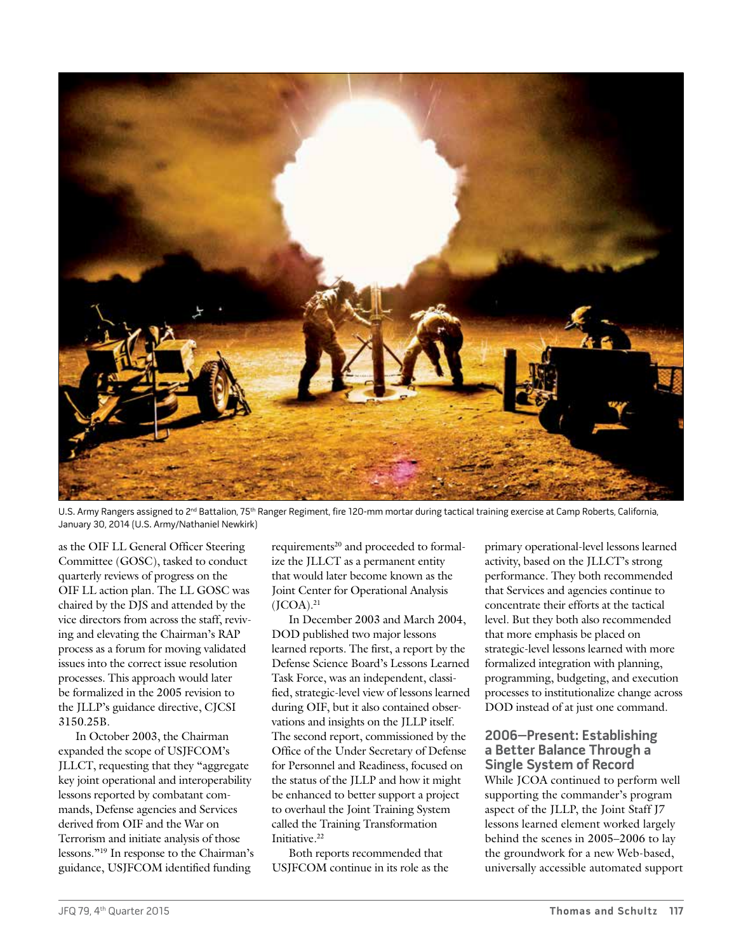

U.S. Army Rangers assigned to 2<sup>nd</sup> Battalion, 75<sup>th</sup> Ranger Regiment, fire 120-mm mortar during tactical training exercise at Camp Roberts, California, January 30, 2014 (U.S. Army/Nathaniel Newkirk)

as the OIF LL General Officer Steering Committee (GOSC), tasked to conduct quarterly reviews of progress on the OIF LL action plan. The LL GOSC was chaired by the DJS and attended by the vice directors from across the staff, reviving and elevating the Chairman's RAP process as a forum for moving validated issues into the correct issue resolution processes. This approach would later be formalized in the 2005 revision to the JLLP's guidance directive, CJCSI 3150.25B.

In October 2003, the Chairman expanded the scope of USJFCOM's JLLCT, requesting that they "aggregate key joint operational and interoperability lessons reported by combatant commands, Defense agencies and Services derived from OIF and the War on Terrorism and initiate analysis of those lessons."19 In response to the Chairman's guidance, USJFCOM identified funding

requirements<sup>20</sup> and proceeded to formalize the JLLCT as a permanent entity that would later become known as the Joint Center for Operational Analysis  $(JCOA).<sup>21</sup>$ 

In December 2003 and March 2004, DOD published two major lessons learned reports. The first, a report by the Defense Science Board's Lessons Learned Task Force, was an independent, classified, strategic-level view of lessons learned during OIF, but it also contained observations and insights on the JLLP itself. The second report, commissioned by the Office of the Under Secretary of Defense for Personnel and Readiness, focused on the status of the JLLP and how it might be enhanced to better support a project to overhaul the Joint Training System called the Training Transformation Initiative.<sup>22</sup>

Both reports recommended that USJFCOM continue in its role as the primary operational-level lessons learned activity, based on the JLLCT's strong performance. They both recommended that Services and agencies continue to concentrate their efforts at the tactical level. But they both also recommended that more emphasis be placed on strategic-level lessons learned with more formalized integration with planning, programming, budgeting, and execution processes to institutionalize change across DOD instead of at just one command.

## **2006–Present: Establishing a Better Balance Through a Single System of Record**

While JCOA continued to perform well supporting the commander's program aspect of the JLLP, the Joint Staff J7 lessons learned element worked largely behind the scenes in 2005–2006 to lay the groundwork for a new Web-based, universally accessible automated support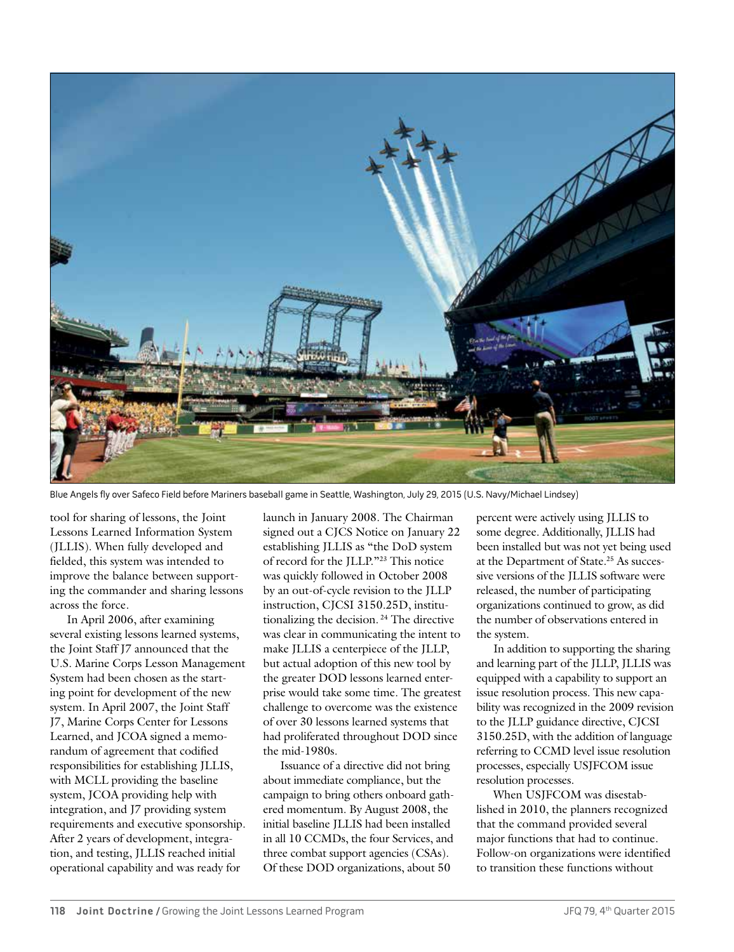

Blue Angels fly over Safeco Field before Mariners baseball game in Seattle, Washington, July 29, 2015 (U.S. Navy/Michael Lindsey)

tool for sharing of lessons, the Joint Lessons Learned Information System (JLLIS). When fully developed and fielded, this system was intended to improve the balance between supporting the commander and sharing lessons across the force.

In April 2006, after examining several existing lessons learned systems, the Joint Staff J7 announced that the U.S. Marine Corps Lesson Management System had been chosen as the starting point for development of the new system. In April 2007, the Joint Staff J7, Marine Corps Center for Lessons Learned, and JCOA signed a memorandum of agreement that codified responsibilities for establishing JLLIS, with MCLL providing the baseline system, JCOA providing help with integration, and J7 providing system requirements and executive sponsorship. After 2 years of development, integration, and testing, JLLIS reached initial operational capability and was ready for

launch in January 2008. The Chairman signed out a CJCS Notice on January 22 establishing JLLIS as "the DoD system of record for the JLLP."23 This notice was quickly followed in October 2008 by an out-of-cycle revision to the JLLP instruction, CJCSI 3150.25D, institutionalizing the decision.<sup>24</sup> The directive was clear in communicating the intent to make JLLIS a centerpiece of the JLLP, but actual adoption of this new tool by the greater DOD lessons learned enterprise would take some time. The greatest challenge to overcome was the existence of over 30 lessons learned systems that had proliferated throughout DOD since the mid-1980s.

Issuance of a directive did not bring about immediate compliance, but the campaign to bring others onboard gathered momentum. By August 2008, the initial baseline JLLIS had been installed in all 10 CCMDs, the four Services, and three combat support agencies (CSAs). Of these DOD organizations, about 50

percent were actively using JLLIS to some degree. Additionally, JLLIS had been installed but was not yet being used at the Department of State.25 As successive versions of the JLLIS software were released, the number of participating organizations continued to grow, as did the number of observations entered in the system.

In addition to supporting the sharing and learning part of the JLLP, JLLIS was equipped with a capability to support an issue resolution process. This new capability was recognized in the 2009 revision to the JLLP guidance directive, CJCSI 3150.25D, with the addition of language referring to CCMD level issue resolution processes, especially USJFCOM issue resolution processes.

When USJFCOM was disestablished in 2010, the planners recognized that the command provided several major functions that had to continue. Follow-on organizations were identified to transition these functions without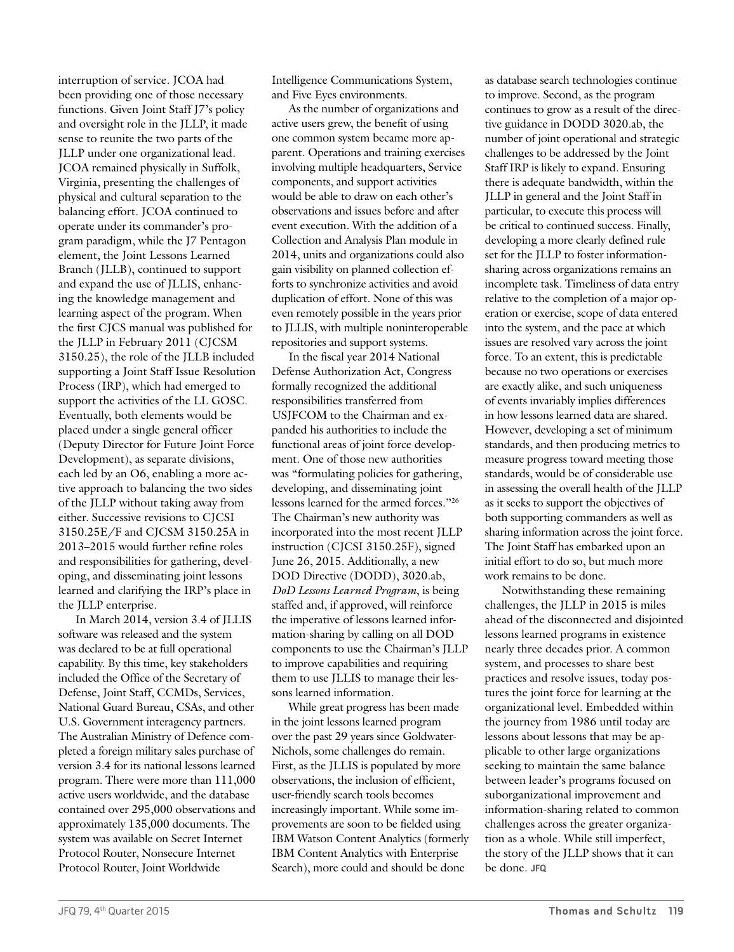interruption of service. JCOA had been providing one of those necessary functions. Given Joint Staff J7's policy and oversight role in the JLLP, it made sense to reunite the two parts of the JLLP under one organizational lead. JCOA remained physically in Suffolk, Virginia, presenting the challenges of physical and cultural separation to the balancing effort. JCOA continued to operate under its commander's program paradigm, while the J7 Pentagon element, the Joint Lessons Learned Branch (JLLB), continued to support and expand the use of JLLIS, enhancing the knowledge management and learning aspect of the program. When the first CJCS manual was published for the JLLP in February 2011 (CJCSM 3150.25), the role of the JLLB included supporting a Joint Staff Issue Resolution Process (IRP), which had emerged to support the activities of the LL GOSC. Eventually, both elements would be placed under a single general officer (Deputy Director for Future Joint Force Development), as separate divisions, each led by an O6, enabling a more active approach to balancing the two sides of the JLLP without taking away from either. Successive revisions to CJCSI 3150.25E/F and CJCSM 3150.25A in 2013–2015 would further refine roles and responsibilities for gathering, developing, and disseminating joint lessons learned and clarifying the IRP's place in the JLLP enterprise.

In March 2014, version 3.4 of JLLIS software was released and the system was declared to be at full operational capability. By this time, key stakeholders included the Office of the Secretary of Defense, Joint Staff, CCMDs, Services, National Guard Bureau, CSAs, and other U.S. Government interagency partners. The Australian Ministry of Defence completed a foreign military sales purchase of version 3.4 for its national lessons learned program. There were more than 111,000 active users worldwide, and the database contained over 295,000 observations and approximately 135,000 documents. The system was available on Secret Internet Protocol Router, Nonsecure Internet Protocol Router, Joint Worldwide

Intelligence Communications System, and Five Eyes environments.

As the number of organizations and active users grew, the benefit of using one common system became more apparent. Operations and training exercises involving multiple headquarters, Service components, and support activities would be able to draw on each other's observations and issues before and after event execution. With the addition of a Collection and Analysis Plan module in 2014, units and organizations could also gain visibility on planned collection efforts to synchronize activities and avoid duplication of effort. None of this was even remotely possible in the years prior to JLLIS, with multiple noninteroperable repositories and support systems.

In the fiscal year 2014 National Defense Authorization Act, Congress formally recognized the additional responsibilities transferred from USJFCOM to the Chairman and expanded his authorities to include the functional areas of joint force development. One of those new authorities was "formulating policies for gathering, developing, and disseminating joint lessons learned for the armed forces."26 The Chairman's new authority was incorporated into the most recent JLLP instruction (CJCSI 3150.25F), signed June 26, 2015. Additionally, a new DOD Directive (DODD), 3020.ab, *DoD Lessons Learned Program*, is being staffed and, if approved, will reinforce the imperative of lessons learned information-sharing by calling on all DOD components to use the Chairman's JLLP to improve capabilities and requiring them to use JLLIS to manage their lessons learned information.

While great progress has been made in the joint lessons learned program over the past 29 years since Goldwater-Nichols, some challenges do remain. First, as the JLLIS is populated by more observations, the inclusion of efficient, user-friendly search tools becomes increasingly important. While some improvements are soon to be fielded using IBM Watson Content Analytics (formerly IBM Content Analytics with Enterprise Search), more could and should be done

as database search technologies continue to improve. Second, as the program continues to grow as a result of the directive guidance in DODD 3020.ab, the number of joint operational and strategic challenges to be addressed by the Joint Staff IRP is likely to expand. Ensuring there is adequate bandwidth, within the JLLP in general and the Joint Staff in particular, to execute this process will be critical to continued success. Finally, developing a more clearly defined rule set for the JLLP to foster informationsharing across organizations remains an incomplete task. Timeliness of data entry relative to the completion of a major operation or exercise, scope of data entered into the system, and the pace at which issues are resolved vary across the joint force. To an extent, this is predictable because no two operations or exercises are exactly alike, and such uniqueness of events invariably implies differences in how lessons learned data are shared. However, developing a set of minimum standards, and then producing metrics to measure progress toward meeting those standards, would be of considerable use in assessing the overall health of the JLLP as it seeks to support the objectives of both supporting commanders as well as sharing information across the joint force. The Joint Staff has embarked upon an initial effort to do so, but much more work remains to be done.

Notwithstanding these remaining challenges, the JLLP in 2015 is miles ahead of the disconnected and disjointed lessons learned programs in existence nearly three decades prior. A common system, and processes to share best practices and resolve issues, today postures the joint force for learning at the organizational level. Embedded within the journey from 1986 until today are lessons about lessons that may be applicable to other large organizations seeking to maintain the same balance between leader's programs focused on suborganizational improvement and information-sharing related to common challenges across the greater organization as a whole. While still imperfect, the story of the JLLP shows that it can be done. **JFQ**